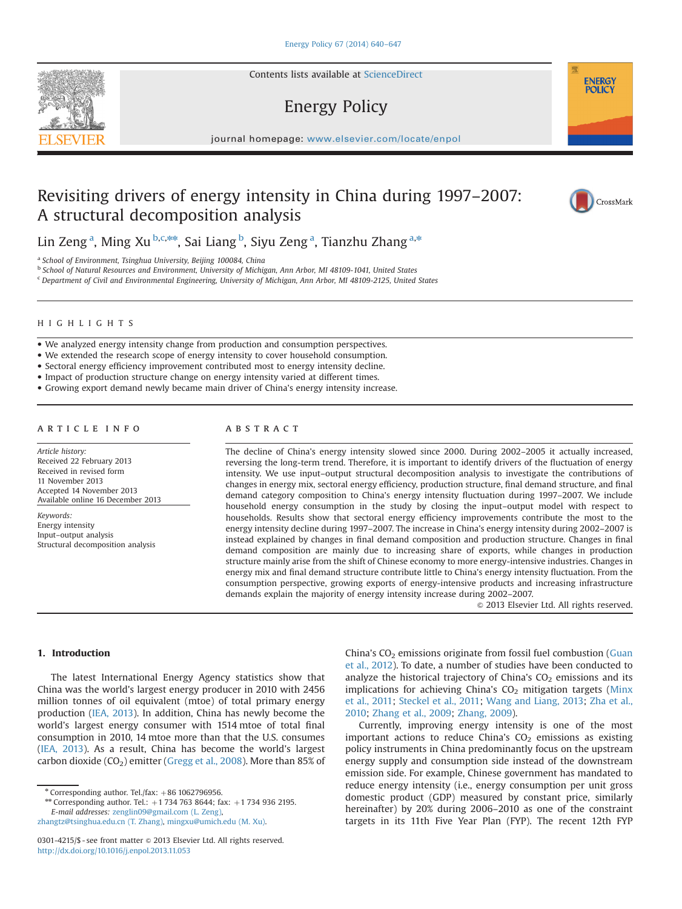Contents lists available at [ScienceDirect](www.sciencedirect.com/science/journal/03014215)

# Energy Policy

journal homepage: <www.elsevier.com/locate/enpol>e  $\mathcal{N}$ 

# Revisiting drivers of energy intensity in China during 1997–2007: A structural decomposition analysis



**ENERGY POLICY** 

Lin Zeng<sup>a</sup>, Ming Xu <sup>b,c,\*\*</sup>, Sai Liang <sup>b</sup>, Siyu Zeng <sup>a</sup>, Tianzhu Zhang <sup>a,\*</sup>

<sup>a</sup> School of Environment, Tsinghua University, Beijing 100084, China

<sup>b</sup> School of Natural Resources and Environment, University of Michigan, Ann Arbor, MI 48109-1041, United States

<sup>c</sup> Department of Civil and Environmental Engineering, University of Michigan, Ann Arbor, MI 48109-2125, United States

## HIGHLIGHTS

- We analyzed energy intensity change from production and consumption perspectives.
- We extended the research scope of energy intensity to cover household consumption.
- Sectoral energy efficiency improvement contributed most to energy intensity decline.
- Impact of production structure change on energy intensity varied at different times.
- Growing export demand newly became main driver of China's energy intensity increase.

## article info

Article history: Received 22 February 2013 Received in revised form 11 November 2013 Accepted 14 November 2013 Available online 16 December 2013

Keywords: Energy intensity Input–output analysis Structural decomposition analysis

## **ABSTRACT**

The decline of China's energy intensity slowed since 2000. During 2002–2005 it actually increased, reversing the long-term trend. Therefore, it is important to identify drivers of the fluctuation of energy intensity. We use input–output structural decomposition analysis to investigate the contributions of changes in energy mix, sectoral energy efficiency, production structure, final demand structure, and final demand category composition to China's energy intensity fluctuation during 1997–2007. We include household energy consumption in the study by closing the input–output model with respect to households. Results show that sectoral energy efficiency improvements contribute the most to the energy intensity decline during 1997–2007. The increase in China's energy intensity during 2002–2007 is instead explained by changes in final demand composition and production structure. Changes in final demand composition are mainly due to increasing share of exports, while changes in production structure mainly arise from the shift of Chinese economy to more energy-intensive industries. Changes in energy mix and final demand structure contribute little to China's energy intensity fluctuation. From the consumption perspective, growing exports of energy-intensive products and increasing infrastructure demands explain the majority of energy intensity increase during 2002–2007.

 $©$  2013 Elsevier Ltd. All rights reserved.

## 1. Introduction

The latest International Energy Agency statistics show that China was the world's largest energy producer in 2010 with 2456 million tonnes of oil equivalent (mtoe) of total primary energy production ([IEA, 2013\)](#page-6-0). In addition, China has newly become the world's largest energy consumer with 1514 mtoe of total final consumption in 2010, 14 mtoe more than that the U.S. consumes ([IEA, 2013\)](#page-6-0). As a result, China has become the world's largest carbon dioxide  $(CO_2)$  emitter [\(Gregg et al., 2008\)](#page-6-0). More than 85% of

[zhangtz@tsinghua.edu.cn \(T. Zhang\)](mailto:zhangtz@tsinghua.edu.cn), [mingxu@umich.edu \(M. Xu\).](mailto:mingxu@umich.edu)

China's  $CO<sub>2</sub>$  emissions originate from fossil fuel combustion ([Guan](#page-6-0) [et al., 2012](#page-6-0)). To date, a number of studies have been conducted to analyze the historical trajectory of China's  $CO<sub>2</sub>$  emissions and its implications for achieving China's  $CO<sub>2</sub>$  mitigation targets [\(Minx](#page-7-0) [et al., 2011;](#page-7-0) [Steckel et al., 2011](#page-7-0); [Wang and Liang, 2013;](#page-7-0) [Zha et al.,](#page-7-0) [2010;](#page-7-0) [Zhang et al., 2009](#page-7-0); [Zhang, 2009](#page-7-0)).

Currently, improving energy intensity is one of the most important actions to reduce China's  $CO<sub>2</sub>$  emissions as existing policy instruments in China predominantly focus on the upstream energy supply and consumption side instead of the downstream emission side. For example, Chinese government has mandated to reduce energy intensity (i.e., energy consumption per unit gross domestic product (GDP) measured by constant price, similarly hereinafter) by 20% during 2006–2010 as one of the constraint targets in its 11th Five Year Plan (FYP). The recent 12th FYP



<sup>\*</sup> Corresponding author. Tel./fax: +86 1062796956.<br>\*\* Corresponding author. Tel.: +1 734 763 8644; fax: +1 734 936 2195. E-mail addresses: [zenglin09@gmail.com \(L. Zeng\)](mailto:zenglin09@gmail.com),

<sup>0301-4215/\$ -</sup> see front matter  $\odot$  2013 Elsevier Ltd. All rights reserved. <http://dx.doi.org/10.1016/j.enpol.2013.11.053>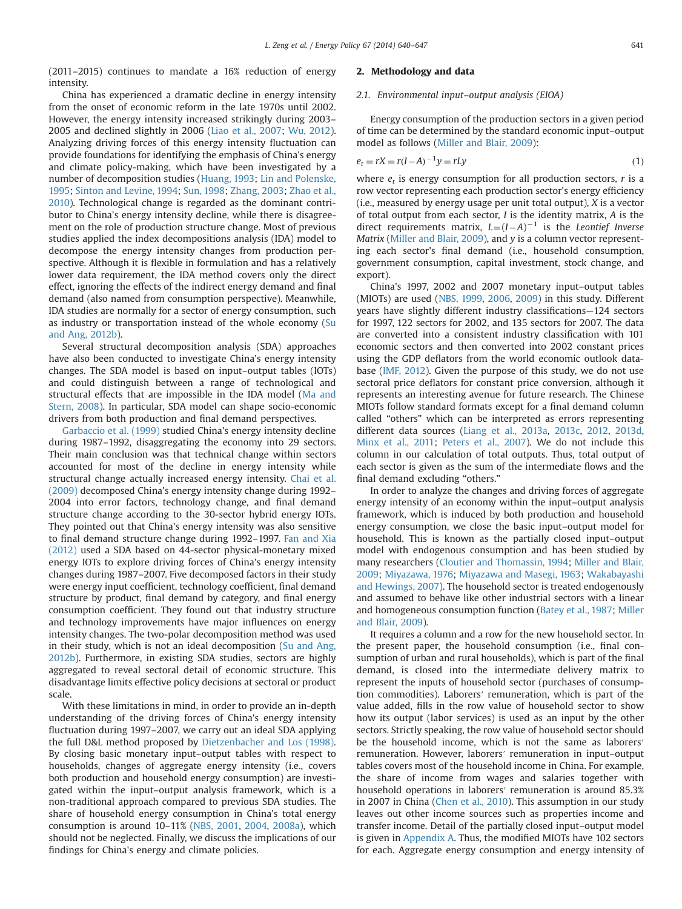(2011–2015) continues to mandate a 16% reduction of energy intensity.

China has experienced a dramatic decline in energy intensity from the onset of economic reform in the late 1970s until 2002. However, the energy intensity increased strikingly during 2003– 2005 and declined slightly in 2006 [\(Liao et al., 2007;](#page-7-0) [Wu, 2012\)](#page-7-0). Analyzing driving forces of this energy intensity fluctuation can provide foundations for identifying the emphasis of China's energy and climate policy-making, which have been investigated by a number of decomposition studies [\(Huang, 1993](#page-6-0); [Lin and Polenske,](#page-7-0) [1995](#page-7-0); [Sinton and Levine, 1994](#page-7-0); [Sun, 1998](#page-7-0); [Zhang, 2003](#page-7-0); [Zhao et al.,](#page-7-0) [2010\)](#page-7-0). Technological change is regarded as the dominant contributor to China's energy intensity decline, while there is disagreement on the role of production structure change. Most of previous studies applied the index decompositions analysis (IDA) model to decompose the energy intensity changes from production perspective. Although it is flexible in formulation and has a relatively lower data requirement, the IDA method covers only the direct effect, ignoring the effects of the indirect energy demand and final demand (also named from consumption perspective). Meanwhile, IDA studies are normally for a sector of energy consumption, such as industry or transportation instead of the whole economy [\(Su](#page-7-0) [and Ang, 2012b](#page-7-0)).

Several structural decomposition analysis (SDA) approaches have also been conducted to investigate China's energy intensity changes. The SDA model is based on input–output tables (IOTs) and could distinguish between a range of technological and structural effects that are impossible in the IDA model ([Ma and](#page-7-0) [Stern, 2008\)](#page-7-0). In particular, SDA model can shape socio-economic drivers from both production and final demand perspectives.

[Garbaccio et al. \(1999\)](#page-6-0) studied China's energy intensity decline during 1987–1992, disaggregating the economy into 29 sectors. Their main conclusion was that technical change within sectors accounted for most of the decline in energy intensity while structural change actually increased energy intensity. [Chai et al.](#page-6-0) [\(2009\)](#page-6-0) decomposed China's energy intensity change during 1992– 2004 into error factors, technology change, and final demand structure change according to the 30-sector hybrid energy IOTs. They pointed out that China's energy intensity was also sensitive to final demand structure change during 1992–1997. [Fan and Xia](#page-6-0) [\(2012\)](#page-6-0) used a SDA based on 44-sector physical-monetary mixed energy IOTs to explore driving forces of China's energy intensity changes during 1987–2007. Five decomposed factors in their study were energy input coefficient, technology coefficient, final demand structure by product, final demand by category, and final energy consumption coefficient. They found out that industry structure and technology improvements have major influences on energy intensity changes. The two-polar decomposition method was used in their study, which is not an ideal decomposition [\(Su and Ang,](#page-7-0) [2012b\)](#page-7-0). Furthermore, in existing SDA studies, sectors are highly aggregated to reveal sectoral detail of economic structure. This disadvantage limits effective policy decisions at sectoral or product scale.

With these limitations in mind, in order to provide an in-depth understanding of the driving forces of China's energy intensity fluctuation during 1997–2007, we carry out an ideal SDA applying the full D&L method proposed by [Dietzenbacher and Los \(1998\).](#page-6-0) By closing basic monetary input–output tables with respect to households, changes of aggregate energy intensity (i.e., covers both production and household energy consumption) are investigated within the input–output analysis framework, which is a non-traditional approach compared to previous SDA studies. The share of household energy consumption in China's total energy consumption is around 10–11% [\(NBS, 2001,](#page-7-0) [2004](#page-7-0), [2008a\)](#page-7-0), which should not be neglected. Finally, we discuss the implications of our findings for China's energy and climate policies.

## 2. Methodology and data

## 2.1. Environmental input–output analysis (EIOA)

Energy consumption of the production sectors in a given period of time can be determined by the standard economic input–output model as follows [\(Miller and Blair, 2009](#page-7-0)):

$$
e_t = rX = r(I - A)^{-1}y = rLy
$$
 (1)

where  $e_t$  is energy consumption for all production sectors, r is a row vector representing each production sector's energy efficiency (i.e., measured by energy usage per unit total output), X is a vector of total output from each sector, I is the identity matrix, A is the direct requirements matrix,  $L=(I-A)^{-1}$  is the Leontief Inverse Matrix ([Miller and Blair, 2009](#page-7-0)), and y is a column vector representing each sector's final demand (i.e., household consumption, government consumption, capital investment, stock change, and export).

China's 1997, 2002 and 2007 monetary input–output tables (MIOTs) are used [\(NBS, 1999](#page-7-0), [2006,](#page-7-0) [2009\)](#page-7-0) in this study. Different years have slightly different industry classifications—124 sectors for 1997, 122 sectors for 2002, and 135 sectors for 2007. The data are converted into a consistent industry classification with 101 economic sectors and then converted into 2002 constant prices using the GDP deflators from the world economic outlook database [\(IMF, 2012\)](#page-6-0). Given the purpose of this study, we do not use sectoral price deflators for constant price conversion, although it represents an interesting avenue for future research. The Chinese MIOTs follow standard formats except for a final demand column called "others" which can be interpreted as errors representing different data sources ([Liang et al., 2013a](#page-6-0), [2013c,](#page-7-0) [2012](#page-7-0), [2013d,](#page-7-0) [Minx et al., 2011;](#page-7-0) [Peters et al., 2007\)](#page-7-0). We do not include this column in our calculation of total outputs. Thus, total output of each sector is given as the sum of the intermediate flows and the final demand excluding "others."

In order to analyze the changes and driving forces of aggregate energy intensity of an economy within the input–output analysis framework, which is induced by both production and household energy consumption, we close the basic input–output model for household. This is known as the partially closed input–output model with endogenous consumption and has been studied by many researchers [\(Cloutier and Thomassin, 1994](#page-6-0); [Miller and Blair,](#page-7-0) [2009;](#page-7-0) [Miyazawa, 1976;](#page-7-0) [Miyazawa and Masegi, 1963](#page-7-0); [Wakabayashi](#page-7-0) [and Hewings, 2007\)](#page-7-0). The household sector is treated endogenously and assumed to behave like other industrial sectors with a linear and homogeneous consumption function ([Batey et al., 1987;](#page-6-0) [Miller](#page-7-0) [and Blair, 2009](#page-7-0)).

It requires a column and a row for the new household sector. In the present paper, the household consumption (i.e., final consumption of urban and rural households), which is part of the final demand, is closed into the intermediate delivery matrix to represent the inputs of household sector (purchases of consumption commodities). Laborers′ remuneration, which is part of the value added, fills in the row value of household sector to show how its output (labor services) is used as an input by the other sectors. Strictly speaking, the row value of household sector should be the household income, which is not the same as laborers′ remuneration. However, laborers′ remuneration in input–output tables covers most of the household income in China. For example, the share of income from wages and salaries together with household operations in laborers′ remuneration is around 85.3% in 2007 in China ([Chen et al., 2010\)](#page-6-0). This assumption in our study leaves out other income sources such as properties income and transfer income. Detail of the partially closed input–output model is given in [Appendix A.](#page-6-0) Thus, the modified MIOTs have 102 sectors for each. Aggregate energy consumption and energy intensity of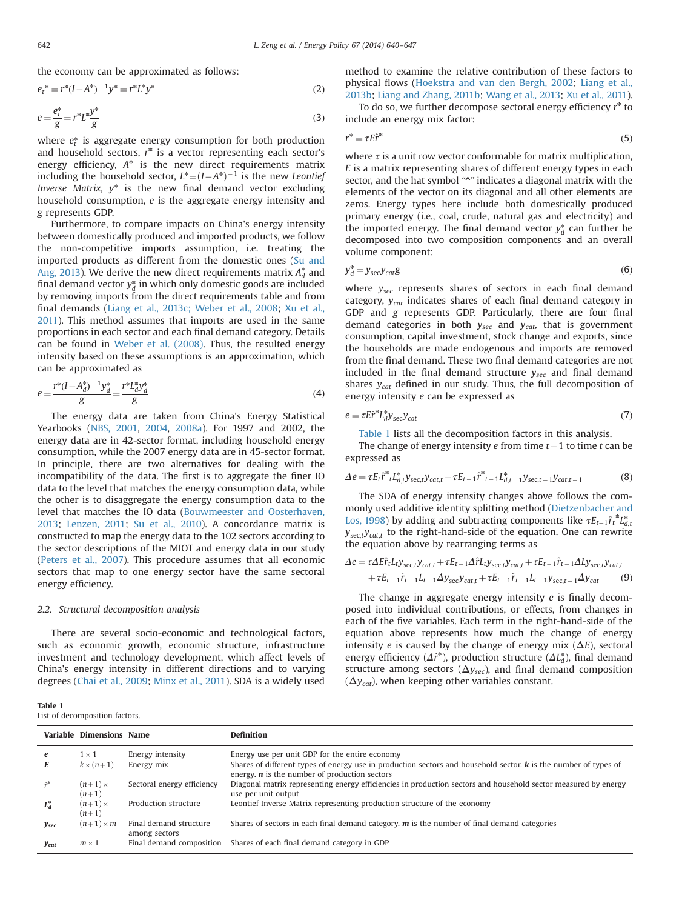<span id="page-2-0"></span>the economy can be approximated as follows:

$$
e_t^* = r^*(I - A^*)^{-1}y^* = r^*L^*y^*
$$
\n(2)

$$
e = \frac{e_t^*}{g} = r^* L^* \frac{y^*}{g}
$$
 (3)

where  $e_t^*$  is aggregate energy consumption for both production and household sectors,  $r^*$  is a vector representing each sector's energy efficiency,  $A^*$  is the new direct requirements matrix including the household sector,  $L^* = (I - A^*)^{-1}$  is the new Leontief Inverse Matrix,  $y^*$  is the new final demand vector excluding household consumption, e is the aggregate energy intensity and g represents GDP.

Furthermore, to compare impacts on China's energy intensity between domestically produced and imported products, we follow the non-competitive imports assumption, i.e. treating the imported products as different from the domestic ones ([Su and](#page-7-0) [Ang, 2013](#page-7-0)). We derive the new direct requirements matrix  $A_d^*$  and final demand vector  $y_d^*$  in which only domestic goods are included by removing imports from the direct requirements table and from final demands ([Liang et al., 2013c; Weber et al., 2008;](#page-7-0) [Xu et al.,](#page-7-0) [2011\)](#page-7-0). This method assumes that imports are used in the same proportions in each sector and each final demand category. Details can be found in [Weber et al. \(2008\)](#page-7-0). Thus, the resulted energy intensity based on these assumptions is an approximation, which can be approximated as

$$
e = \frac{r^*(I - A_d^*)^{-1}y_d^*}{g} = \frac{r^*L_d^*y_d^*}{g}
$$
(4)

The energy data are taken from China's Energy Statistical Yearbooks [\(NBS, 2001](#page-7-0), [2004](#page-7-0), [2008a\)](#page-7-0). For 1997 and 2002, the energy data are in 42-sector format, including household energy consumption, while the 2007 energy data are in 45-sector format. In principle, there are two alternatives for dealing with the incompatibility of the data. The first is to aggregate the finer IO data to the level that matches the energy consumption data, while the other is to disaggregate the energy consumption data to the level that matches the IO data ([Bouwmeester and Oosterhaven,](#page-6-0) [2013;](#page-6-0) [Lenzen, 2011;](#page-6-0) [Su et al., 2010](#page-7-0)). A concordance matrix is constructed to map the energy data to the 102 sectors according to the sector descriptions of the MIOT and energy data in our study ([Peters et al., 2007\)](#page-7-0). This procedure assumes that all economic sectors that map to one energy sector have the same sectoral energy efficiency.

## 2.2. Structural decomposition analysis

There are several socio-economic and technological factors, such as economic growth, economic structure, infrastructure investment and technology development, which affect levels of China's energy intensity in different directions and to varying degrees ([Chai et al., 2009;](#page-6-0) [Minx et al., 2011](#page-7-0)). SDA is a widely used

method to examine the relative contribution of these factors to physical flows [\(Hoekstra and van den Bergh, 2002;](#page-6-0) [Liang et al.,](#page-6-0) [2013b;](#page-6-0) [Liang and Zhang, 2011b](#page-7-0); [Wang et al., 2013;](#page-7-0) [Xu et al., 2011\)](#page-7-0).

To do so, we further decompose sectoral energy efficiency r\* to include an energy mix factor:

$$
r^* = \tau E \hat{r}^* \tag{5}
$$

where  $\tau$  is a unit row vector conformable for matrix multiplication, E is a matrix representing shares of different energy types in each sector, and the hat symbol "^" indicates a diagonal matrix with the elements of the vector on its diagonal and all other elements are zeros. Energy types here include both domestically produced primary energy (i.e., coal, crude, natural gas and electricity) and the imported energy. The final demand vector  $y_d^*$  can further be decomposed into two composition components and an overall volume component:

$$
y_d^* = y_{\text{sec}} y_{\text{cat}} g \tag{6}
$$

where  $y_{\text{sec}}$  represents shares of sectors in each final demand category,  $y_{cat}$  indicates shares of each final demand category in GDP and g represents GDP. Particularly, there are four final demand categories in both  $y_{sec}$  and  $y_{cat}$ , that is government consumption, capital investment, stock change and exports, since the households are made endogenous and imports are removed from the final demand. These two final demand categories are not included in the final demand structure  $y_{sec}$  and final demand shares  $y_{cat}$  defined in our study. Thus, the full decomposition of energy intensity e can be expressed as

$$
e = \tau E \hat{r}^* L_d^* y_{\text{sec}} y_{\text{cat}} \tag{7}
$$

Table 1 lists all the decomposition factors in this analysis. The change of energy intensity *e* from time  $t-1$  to time  $t$  can be expressed as

$$
\Delta e = \tau E_t \hat{r}^* t L_{d,t}^* y_{\text{sec},t} y_{\text{cat},t} - \tau E_{t-1} \hat{r}^* t-1 L_{d,t-1}^* y_{\text{sec},t-1} y_{\text{cat},t-1}
$$
(8)

The SDA of energy intensity changes above follows the commonly used additive identity splitting method ([Dietzenbacher and](#page-6-0) [Los, 1998\)](#page-6-0) by adding and subtracting components like  $\tau E_{t-1} \hat{r}_t^* L_{d,t}^*$  $y_{\text{sect}}y_{\text{cat},t}$  to the right-hand-side of the equation. One can rewrite the equation above by rearranging terms as

$$
\Delta e = \tau \Delta E \hat{r}_t L_t y_{\text{sec},t} y_{\text{cat},t} + \tau E_{t-1} \Delta \hat{r} L_t y_{\text{sec},t} y_{\text{cat},t} + \tau E_{t-1} \hat{r}_{t-1} \Delta L y_{\text{sec},t} y_{\text{cat},t} + \tau E_{t-1} \hat{r}_{t-1} L_{t-1} \Delta y_{\text{sec}} y_{\text{cat},t} + \tau E_{t-1} \hat{r}_{t-1} L_{t-1} y_{\text{sec},t-1} \Delta y_{\text{cat}} \tag{9}
$$

The change in aggregate energy intensity  $e$  is finally decomposed into individual contributions, or effects, from changes in each of the five variables. Each term in the right-hand-side of the equation above represents how much the change of energy intensity e is caused by the change of energy mix  $(\Delta E)$ , sectoral energy efficiency ( $\Delta \hat{r}^*$ ), production structure ( $\Delta L_d^*$ ), final demand structure among sectors ( $\Delta y_{\text{sec}}$ ), and final demand composition  $(\Delta y_{cat})$ , when keeping other variables constant.

| Table 1                        |  |
|--------------------------------|--|
| List of decomposition factors. |  |

|               | Variable Dimensions Name    |                                         | <b>Definition</b>                                                                                                                                                                      |
|---------------|-----------------------------|-----------------------------------------|----------------------------------------------------------------------------------------------------------------------------------------------------------------------------------------|
| e             | $1\times1$                  | Energy intensity                        | Energy use per unit GDP for the entire economy                                                                                                                                         |
| E             | $k \times (n+1)$            | Energy mix                              | Shares of different types of energy use in production sectors and household sector. $\bf{k}$ is the number of types of<br>energy, $\boldsymbol{n}$ is the number of production sectors |
| $\hat{r}^*$   | $(n+1)$ $\times$<br>$(n+1)$ | Sectoral energy efficiency              | Diagonal matrix representing energy efficiencies in production sectors and household sector measured by energy<br>use per unit output                                                  |
| $L_d^*$       | $(n+1)$ $\times$<br>$(n+1)$ | Production structure                    | Leontief Inverse Matrix representing production structure of the economy                                                                                                               |
| $y_{\rm sec}$ | $(n+1) \times m$            | Final demand structure<br>among sectors | Shares of sectors in each final demand category. $\boldsymbol{m}$ is the number of final demand categories                                                                             |
| <b>V</b> cat  | $m \times 1$                | Final demand composition                | Shares of each final demand category in GDP                                                                                                                                            |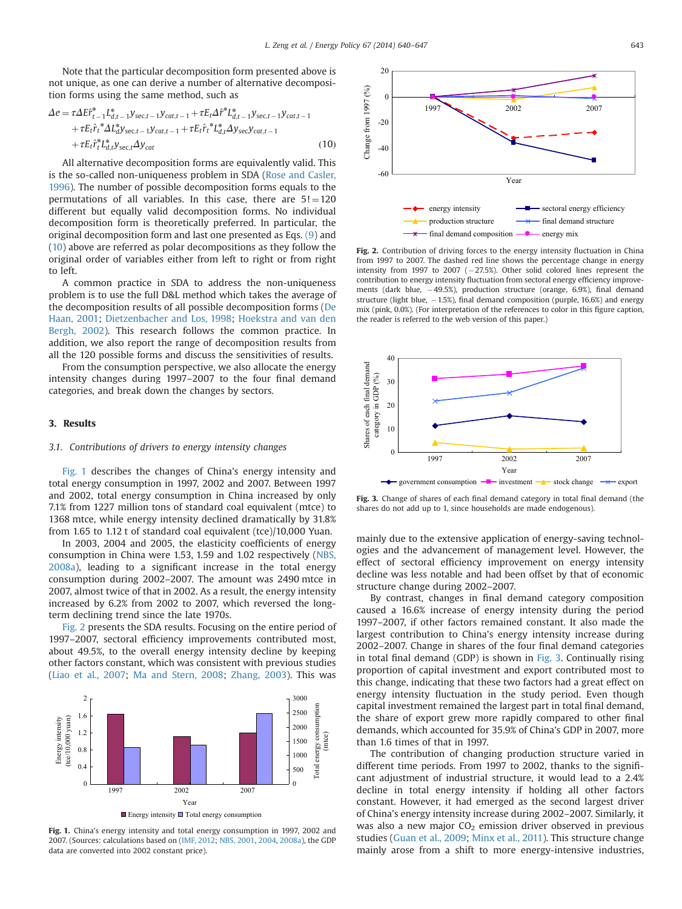Note that the particular decomposition form presented above is not unique, as one can derive a number of alternative decomposition forms using the same method, such as

$$
\Delta e = \tau \Delta E \tilde{r}_{t-1}^* L_{d,t-1}^* y_{\text{sec},t-1} y_{cat,t-1} + \tau E_t \hat{H}^* L_{d,t-1}^* y_{\text{sec},t-1} y_{cat,t-1} + \tau E_t \hat{r}_t^* \Delta L_d^* y_{\text{sec},t-1} y_{cat,t-1} + \tau E_t \hat{r}_t^* L_{d,t}^* \Delta y_{\text{sec}} y_{cat,t-1} + \tau E_t \tilde{r}_t^* L_{d,t}^* y_{\text{sec},t} \Delta y_{cat}
$$
(10)

All alternative decomposition forms are equivalently valid. This is the so-called non-uniqueness problem in SDA [\(Rose and Casler,](#page-7-0) [1996](#page-7-0)). The number of possible decomposition forms equals to the permutations of all variables. In this case, there are  $5! = 120$ different but equally valid decomposition forms. No individual decomposition form is theoretically preferred. In particular, the original decomposition form and last one presented as Eqs. [\(9](#page-2-0)) and (10) above are referred as polar decompositions as they follow the original order of variables either from left to right or from right to left.

A common practice in SDA to address the non-uniqueness problem is to use the full D&L method which takes the average of the decomposition results of all possible decomposition forms [\(De](#page-6-0) [Haan, 2001](#page-6-0); [Dietzenbacher and Los, 1998](#page-6-0); [Hoekstra and van den](#page-6-0) [Bergh, 2002](#page-6-0)). This research follows the common practice. In addition, we also report the range of decomposition results from all the 120 possible forms and discuss the sensitivities of results.

From the consumption perspective, we also allocate the energy intensity changes during 1997–2007 to the four final demand categories, and break down the changes by sectors.

## 3. Results

n

### 3.1. Contributions of drivers to energy intensity changes

Fig. 1 describes the changes of China's energy intensity and total energy consumption in 1997, 2002 and 2007. Between 1997 and 2002, total energy consumption in China increased by only 7.1% from 1227 million tons of standard coal equivalent (mtce) to 1368 mtce, while energy intensity declined dramatically by 31.8% from 1.65 to 1.12 t of standard coal equivalent (tce)/10,000 Yuan.

In 2003, 2004 and 2005, the elasticity coefficients of energy consumption in China were 1.53, 1.59 and 1.02 respectively [\(NBS,](#page-7-0) [2008a\)](#page-7-0), leading to a significant increase in the total energy consumption during 2002–2007. The amount was 2490 mtce in 2007, almost twice of that in 2002. As a result, the energy intensity increased by 6.2% from 2002 to 2007, which reversed the longterm declining trend since the late 1970s.

Fig. 2 presents the SDA results. Focusing on the entire period of 1997–2007, sectoral efficiency improvements contributed most, about 49.5%, to the overall energy intensity decline by keeping other factors constant, which was consistent with previous studies ([Liao et al., 2007;](#page-7-0) [Ma and Stern, 2008](#page-7-0); [Zhang, 2003](#page-7-0)). This was



Fig. 1. China's energy intensity and total energy consumption in 1997, 2002 and 2007. (Sources: calculations based on ([IMF, 2012;](#page-6-0) [NBS, 2001,](#page-7-0) [2004](#page-7-0), [2008a](#page-7-0)), the GDP data are converted into 2002 constant price).



Fig. 2. Contribution of driving forces to the energy intensity fluctuation in China from 1997 to 2007. The dashed red line shows the percentage change in energy intensity from 1997 to 2007 ( $-27.5%$ ). Other solid colored lines represent the contribution to energy intensity fluctuation from sectoral energy efficiency improvements (dark blue, 49.5%), production structure (orange, 6.9%), final demand structure (light blue,  $-1.5%$ ), final demand composition (purple, 16.6%) and energy mix (pink, 0.0%). (For interpretation of the references to color in this figure caption, the reader is referred to the web version of this paper.)



Fig. 3. Change of shares of each final demand category in total final demand (the shares do not add up to 1, since households are made endogenous).

mainly due to the extensive application of energy-saving technologies and the advancement of management level. However, the effect of sectoral efficiency improvement on energy intensity decline was less notable and had been offset by that of economic structure change during 2002–2007.

By contrast, changes in final demand category composition caused a 16.6% increase of energy intensity during the period 1997–2007, if other factors remained constant. It also made the largest contribution to China's energy intensity increase during 2002–2007. Change in shares of the four final demand categories in total final demand (GDP) is shown in Fig. 3. Continually rising proportion of capital investment and export contributed most to this change, indicating that these two factors had a great effect on energy intensity fluctuation in the study period. Even though capital investment remained the largest part in total final demand, the share of export grew more rapidly compared to other final demands, which accounted for 35.9% of China's GDP in 2007, more than 1.6 times of that in 1997.

The contribution of changing production structure varied in different time periods. From 1997 to 2002, thanks to the significant adjustment of industrial structure, it would lead to a 2.4% decline in total energy intensity if holding all other factors constant. However, it had emerged as the second largest driver of China's energy intensity increase during 2002–2007. Similarly, it was also a new major  $CO<sub>2</sub>$  emission driver observed in previous studies ([Guan et al., 2009](#page-6-0); [Minx et al., 2011](#page-7-0)). This structure change mainly arose from a shift to more energy-intensive industries,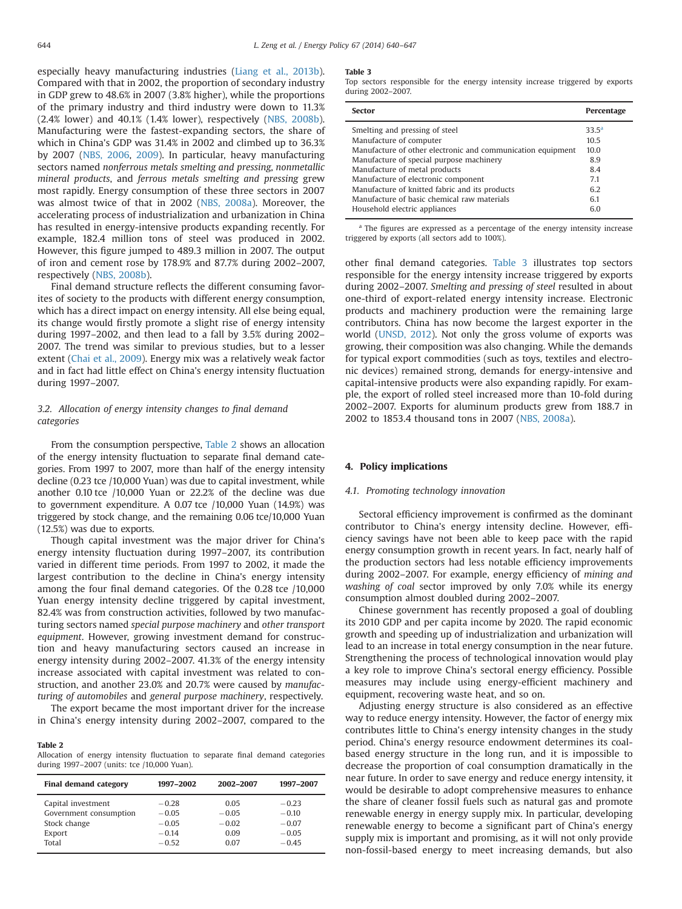especially heavy manufacturing industries [\(Liang et al., 2013b\)](#page-6-0). Compared with that in 2002, the proportion of secondary industry in GDP grew to 48.6% in 2007 (3.8% higher), while the proportions of the primary industry and third industry were down to 11.3% (2.4% lower) and 40.1% (1.4% lower), respectively ([NBS, 2008b\)](#page-7-0). Manufacturing were the fastest-expanding sectors, the share of which in China's GDP was 31.4% in 2002 and climbed up to 36.3% by 2007 [\(NBS, 2006](#page-7-0), [2009](#page-7-0)). In particular, heavy manufacturing sectors named nonferrous metals smelting and pressing, nonmetallic mineral products, and ferrous metals smelting and pressing grew most rapidly. Energy consumption of these three sectors in 2007 was almost twice of that in 2002 [\(NBS, 2008a](#page-7-0)). Moreover, the accelerating process of industrialization and urbanization in China has resulted in energy-intensive products expanding recently. For example, 182.4 million tons of steel was produced in 2002. However, this figure jumped to 489.3 million in 2007. The output of iron and cement rose by 178.9% and 87.7% during 2002–2007, respectively ([NBS, 2008b\)](#page-7-0).

Final demand structure reflects the different consuming favorites of society to the products with different energy consumption, which has a direct impact on energy intensity. All else being equal, its change would firstly promote a slight rise of energy intensity during 1997–2002, and then lead to a fall by 3.5% during 2002– 2007. The trend was similar to previous studies, but to a lesser extent [\(Chai et al., 2009\)](#page-6-0). Energy mix was a relatively weak factor and in fact had little effect on China's energy intensity fluctuation during 1997–2007.

# 3.2. Allocation of energy intensity changes to final demand categories

From the consumption perspective, Table 2 shows an allocation of the energy intensity fluctuation to separate final demand categories. From 1997 to 2007, more than half of the energy intensity decline (0.23 tce /10,000 Yuan) was due to capital investment, while another 0.10 tce /10,000 Yuan or 22.2% of the decline was due to government expenditure. A 0.07 tce /10,000 Yuan (14.9%) was triggered by stock change, and the remaining 0.06 tce/10,000 Yuan (12.5%) was due to exports.

Though capital investment was the major driver for China's energy intensity fluctuation during 1997–2007, its contribution varied in different time periods. From 1997 to 2002, it made the largest contribution to the decline in China's energy intensity among the four final demand categories. Of the 0.28 tce /10,000 Yuan energy intensity decline triggered by capital investment, 82.4% was from construction activities, followed by two manufacturing sectors named special purpose machinery and other transport equipment. However, growing investment demand for construction and heavy manufacturing sectors caused an increase in energy intensity during 2002–2007. 41.3% of the energy intensity increase associated with capital investment was related to construction, and another 23.0% and 20.7% were caused by manufacturing of automobiles and general purpose machinery, respectively.

The export became the most important driver for the increase in China's energy intensity during 2002–2007, compared to the

## Table 2

Allocation of energy intensity fluctuation to separate final demand categories during 1997–2007 (units: tce /10,000 Yuan).

| <b>Final demand category</b>                                           | 1997-2002                                | 2002-2007                          | 1997-2007                                |
|------------------------------------------------------------------------|------------------------------------------|------------------------------------|------------------------------------------|
| Capital investment<br>Government consumption<br>Stock change<br>Export | $-0.28$<br>$-0.05$<br>$-0.05$<br>$-0.14$ | 0.05<br>$-0.05$<br>$-0.02$<br>0.09 | $-0.23$<br>$-0.10$<br>$-0.07$<br>$-0.05$ |
| Total                                                                  | $-0.52$                                  | 0.07                               | $-0.45$                                  |

#### Table 3

Top sectors responsible for the energy intensity increase triggered by exports during 2002–2007.

| <b>Sector</b>                                               | Percentage     |
|-------------------------------------------------------------|----------------|
| Smelting and pressing of steel                              | $33.5^{\circ}$ |
| Manufacture of computer                                     | 10.5           |
| Manufacture of other electronic and communication equipment | 10.0           |
| Manufacture of special purpose machinery                    | 8.9            |
| Manufacture of metal products                               | 8.4            |
| Manufacture of electronic component                         | 7.1            |
| Manufacture of knitted fabric and its products              | 6.2            |
| Manufacture of basic chemical raw materials                 | 6.1            |
| Household electric appliances                               | 6.0            |

<sup>a</sup> The figures are expressed as a percentage of the energy intensity increase triggered by exports (all sectors add to 100%).

other final demand categories. Table 3 illustrates top sectors responsible for the energy intensity increase triggered by exports during 2002–2007. Smelting and pressing of steel resulted in about one-third of export-related energy intensity increase. Electronic products and machinery production were the remaining large contributors. China has now become the largest exporter in the world ([UNSD, 2012\)](#page-7-0). Not only the gross volume of exports was growing, their composition was also changing. While the demands for typical export commodities (such as toys, textiles and electronic devices) remained strong, demands for energy-intensive and capital-intensive products were also expanding rapidly. For example, the export of rolled steel increased more than 10-fold during 2002–2007. Exports for aluminum products grew from 188.7 in 2002 to 1853.4 thousand tons in 2007 [\(NBS, 2008a\)](#page-7-0).

## 4. Policy implications

## 4.1. Promoting technology innovation

Sectoral efficiency improvement is confirmed as the dominant contributor to China's energy intensity decline. However, efficiency savings have not been able to keep pace with the rapid energy consumption growth in recent years. In fact, nearly half of the production sectors had less notable efficiency improvements during 2002–2007. For example, energy efficiency of mining and washing of coal sector improved by only 7.0% while its energy consumption almost doubled during 2002–2007.

Chinese government has recently proposed a goal of doubling its 2010 GDP and per capita income by 2020. The rapid economic growth and speeding up of industrialization and urbanization will lead to an increase in total energy consumption in the near future. Strengthening the process of technological innovation would play a key role to improve China's sectoral energy efficiency. Possible measures may include using energy-efficient machinery and equipment, recovering waste heat, and so on.

Adjusting energy structure is also considered as an effective way to reduce energy intensity. However, the factor of energy mix contributes little to China's energy intensity changes in the study period. China's energy resource endowment determines its coalbased energy structure in the long run, and it is impossible to decrease the proportion of coal consumption dramatically in the near future. In order to save energy and reduce energy intensity, it would be desirable to adopt comprehensive measures to enhance the share of cleaner fossil fuels such as natural gas and promote renewable energy in energy supply mix. In particular, developing renewable energy to become a significant part of China's energy supply mix is important and promising, as it will not only provide non-fossil-based energy to meet increasing demands, but also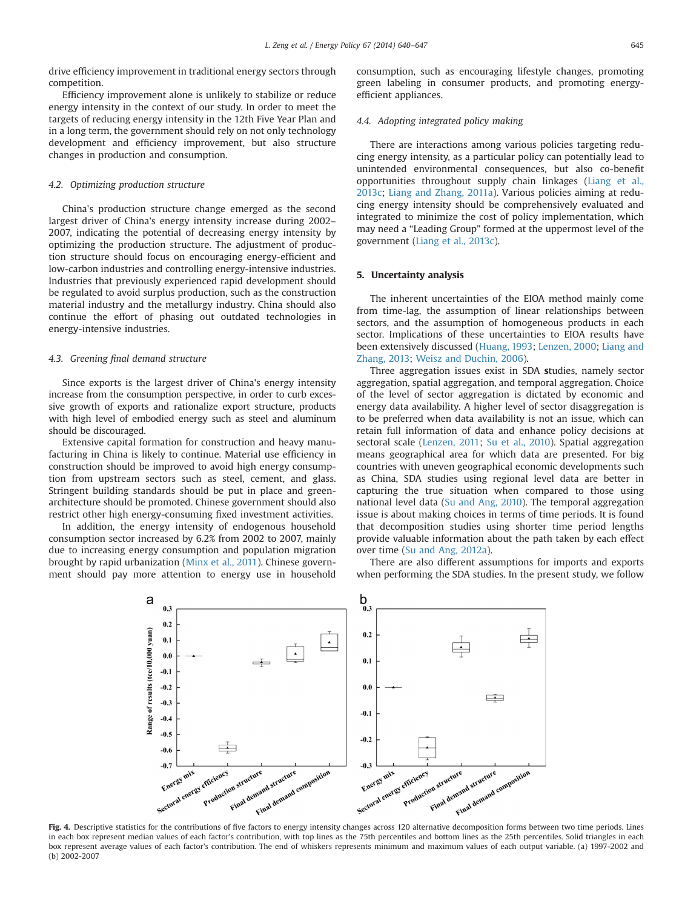<span id="page-5-0"></span>drive efficiency improvement in traditional energy sectors through competition.

Efficiency improvement alone is unlikely to stabilize or reduce energy intensity in the context of our study. In order to meet the targets of reducing energy intensity in the 12th Five Year Plan and in a long term, the government should rely on not only technology development and efficiency improvement, but also structure changes in production and consumption.

## 4.2. Optimizing production structure

China's production structure change emerged as the second largest driver of China's energy intensity increase during 2002– 2007, indicating the potential of decreasing energy intensity by optimizing the production structure. The adjustment of production structure should focus on encouraging energy-efficient and low-carbon industries and controlling energy-intensive industries. Industries that previously experienced rapid development should be regulated to avoid surplus production, such as the construction material industry and the metallurgy industry. China should also continue the effort of phasing out outdated technologies in energy-intensive industries.

## 4.3. Greening final demand structure

Since exports is the largest driver of China's energy intensity increase from the consumption perspective, in order to curb excessive growth of exports and rationalize export structure, products with high level of embodied energy such as steel and aluminum should be discouraged.

Extensive capital formation for construction and heavy manufacturing in China is likely to continue. Material use efficiency in construction should be improved to avoid high energy consumption from upstream sectors such as steel, cement, and glass. Stringent building standards should be put in place and greenarchitecture should be promoted. Chinese government should also restrict other high energy-consuming fixed investment activities.

In addition, the energy intensity of endogenous household consumption sector increased by 6.2% from 2002 to 2007, mainly due to increasing energy consumption and population migration brought by rapid urbanization [\(Minx et al., 2011\)](#page-7-0). Chinese government should pay more attention to energy use in household consumption, such as encouraging lifestyle changes, promoting green labeling in consumer products, and promoting energyefficient appliances.

# 4.4. Adopting integrated policy making

There are interactions among various policies targeting reducing energy intensity, as a particular policy can potentially lead to unintended environmental consequences, but also co-benefit opportunities throughout supply chain linkages [\(Liang et al.,](#page-7-0) [2013c;](#page-7-0) [Liang and Zhang, 2011a\)](#page-7-0). Various policies aiming at reducing energy intensity should be comprehensively evaluated and integrated to minimize the cost of policy implementation, which may need a "Leading Group" formed at the uppermost level of the government [\(Liang et al., 2013c\)](#page-7-0).

## 5. Uncertainty analysis

The inherent uncertainties of the EIOA method mainly come from time-lag, the assumption of linear relationships between sectors, and the assumption of homogeneous products in each sector. Implications of these uncertainties to EIOA results have been extensively discussed [\(Huang, 1993](#page-6-0); [Lenzen, 2000;](#page-6-0) [Liang and](#page-7-0) [Zhang, 2013;](#page-7-0) [Weisz and Duchin, 2006](#page-7-0)).

Three aggregation issues exist in SDA studies, namely sector aggregation, spatial aggregation, and temporal aggregation. Choice of the level of sector aggregation is dictated by economic and energy data availability. A higher level of sector disaggregation is to be preferred when data availability is not an issue, which can retain full information of data and enhance policy decisions at sectoral scale [\(Lenzen, 2011](#page-6-0); [Su et al., 2010\)](#page-7-0). Spatial aggregation means geographical area for which data are presented. For big countries with uneven geographical economic developments such as China, SDA studies using regional level data are better in capturing the true situation when compared to those using national level data ([Su and Ang, 2010\)](#page-7-0). The temporal aggregation issue is about making choices in terms of time periods. It is found that decomposition studies using shorter time period lengths provide valuable information about the path taken by each effect over time [\(Su and Ang, 2012a](#page-7-0)).

There are also different assumptions for imports and exports when performing the SDA studies. In the present study, we follow



in each box represent median values of each factor's contribution, with top lines as the 75th percentiles and bottom lines as the 25th percentiles. Solid triangles in each box represent average values of each factor's contribution. The end of whiskers represents minimum and maximum values of each output variable. (a) 1997-2002 and (b) 2002-2007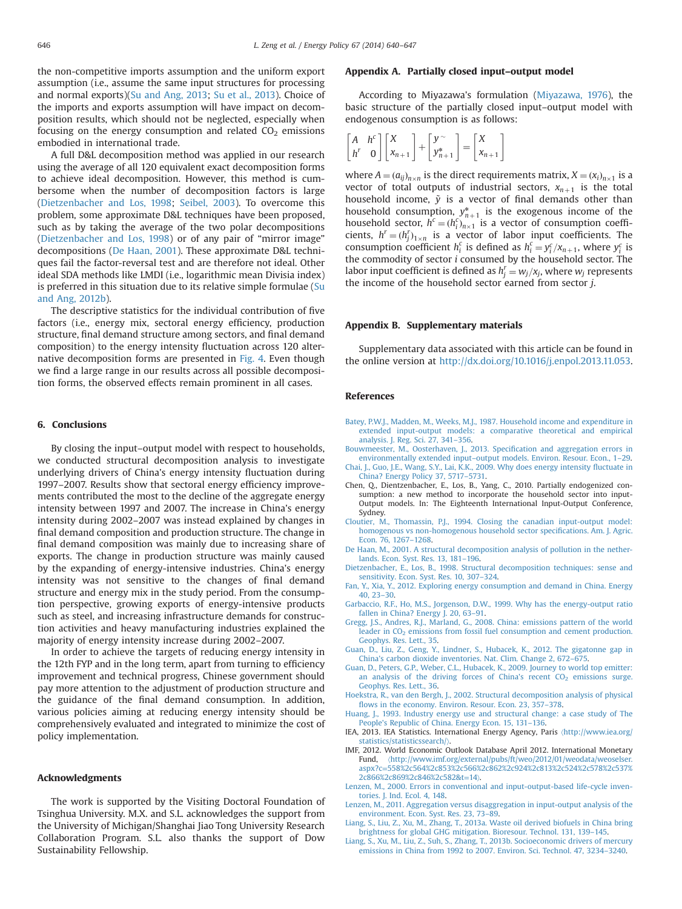<span id="page-6-0"></span>the non-competitive imports assumption and the uniform export assumption (i.e., assume the same input structures for processing and normal exports)[\(Su and Ang, 2013](#page-7-0); [Su et al., 2013\)](#page-7-0). Choice of the imports and exports assumption will have impact on decomposition results, which should not be neglected, especially when focusing on the energy consumption and related  $CO<sub>2</sub>$  emissions embodied in international trade.

A full D&L decomposition method was applied in our research using the average of all 120 equivalent exact decomposition forms to achieve ideal decomposition. However, this method is cumbersome when the number of decomposition factors is large (Dietzenbacher and Los, 1998; [Seibel, 2003](#page-7-0)). To overcome this problem, some approximate D&L techniques have been proposed, such as by taking the average of the two polar decompositions (Dietzenbacher and Los, 1998) or of any pair of "mirror image" decompositions (De Haan, 2001). These approximate D&L techniques fail the factor-reversal test and are therefore not ideal. Other ideal SDA methods like LMDI (i.e., logarithmic mean Divisia index) is preferred in this situation due to its relative simple formulae ([Su](#page-7-0) [and Ang, 2012b](#page-7-0)).

The descriptive statistics for the individual contribution of five factors (i.e., energy mix, sectoral energy efficiency, production structure, final demand structure among sectors, and final demand composition) to the energy intensity fluctuation across 120 alternative decomposition forms are presented in [Fig. 4](#page-5-0). Even though we find a large range in our results across all possible decomposition forms, the observed effects remain prominent in all cases.

# 6. Conclusions

By closing the input–output model with respect to households, we conducted structural decomposition analysis to investigate underlying drivers of China's energy intensity fluctuation during 1997–2007. Results show that sectoral energy efficiency improvements contributed the most to the decline of the aggregate energy intensity between 1997 and 2007. The increase in China's energy intensity during 2002–2007 was instead explained by changes in final demand composition and production structure. The change in final demand composition was mainly due to increasing share of exports. The change in production structure was mainly caused by the expanding of energy-intensive industries. China's energy intensity was not sensitive to the changes of final demand structure and energy mix in the study period. From the consumption perspective, growing exports of energy-intensive products such as steel, and increasing infrastructure demands for construction activities and heavy manufacturing industries explained the majority of energy intensity increase during 2002–2007.

In order to achieve the targets of reducing energy intensity in the 12th FYP and in the long term, apart from turning to efficiency improvement and technical progress, Chinese government should pay more attention to the adjustment of production structure and the guidance of the final demand consumption. In addition, various policies aiming at reducing energy intensity should be comprehensively evaluated and integrated to minimize the cost of policy implementation.

## Acknowledgments

The work is supported by the Visiting Doctoral Foundation of Tsinghua University. M.X. and S.L. acknowledges the support from the University of Michigan/Shanghai Jiao Tong University Research Collaboration Program. S.L. also thanks the support of Dow Sustainability Fellowship.

## Appendix A. Partially closed input–output model

According to Miyazawa's formulation [\(Miyazawa, 1976\)](#page-7-0), the basic structure of the partially closed input–output model with endogenous consumption is as follows:

$$
\begin{bmatrix} A & h^c \ h^r & 0 \end{bmatrix} \begin{bmatrix} X \\ x_{n+1} \end{bmatrix} + \begin{bmatrix} y^{\sim} \\ y_{n+1}^* \end{bmatrix} = \begin{bmatrix} X \\ x_{n+1} \end{bmatrix}
$$

where  $A = (a_{ij})_{n \times n}$  is the direct requirements matrix,  $X = (x_i)_{n \times 1}$  is a vector of total outputs of industrial sectors,  $x_{n+1}$  is the total household income,  $\tilde{y}$  is a vector of final demands other than household consumption,  $y_{n+1}^*$  is the exogenous income of the household sector,  $h^c = (h_i^c)_{n \times 1}$  is a vector of consumption coefficients,  $h^r = (h_j^r)_{1 \times n}$  is a vector of labor input coefficients. The consumption coefficient  $h_i^c$  is defined as  $h_i^c = y_i^c / x_{n+1}$ , where  $y_i^c$  is the commodity of sector i consumed by the household sector. The labor input coefficient is defined as  $h_j^r = w_j/x_j$ , where  $w_j$  represents the income of the household sector earned from sector j.

### Appendix B. Supplementary materials

Supplementary data associated with this article can be found in the online version at [http://dx.doi.org/10.1016/j.enpol.2013.11.053.](http://dx.doi.org/10.1016/j.enpol.2013.11.053)

## References

- [Batey, P.W.J., Madden, M., Weeks, M.J., 1987. Household income and expenditure in](http://refhub.elsevier.com/S0301-4215(13)01183-X/sbref1) [extended input-output models: a comparative theoretical and empirical](http://refhub.elsevier.com/S0301-4215(13)01183-X/sbref1) [analysis. J. Reg. Sci. 27, 341](http://refhub.elsevier.com/S0301-4215(13)01183-X/sbref1)–356.
- [Bouwmeester, M., Oosterhaven, J., 2013. Speci](http://refhub.elsevier.com/S0301-4215(13)01183-X/sbref2)fication and aggregation errors in environmentally extended input–[output models. Environ. Resour. Econ., 1](http://refhub.elsevier.com/S0301-4215(13)01183-X/sbref2)–29.
- [Chai, J., Guo, J.E., Wang, S.Y., Lai, K.K., 2009. Why does energy intensity](http://refhub.elsevier.com/S0301-4215(13)01183-X/sbref3) fluctuate in [China? Energy Policy 37, 5717](http://refhub.elsevier.com/S0301-4215(13)01183-X/sbref3)–5731.
- Chen, Q., Dientzenbacher, E., Los, B., Yang, C., 2010. Partially endogenized consumption: a new method to incorporate the household sector into input-Output models. In: The Eighteenth International Input-Output Conference, Sydney.
- [Cloutier, M., Thomassin, P.J., 1994. Closing the canadian input-output model:](http://refhub.elsevier.com/S0301-4215(13)01183-X/sbref4) [homogenous vs non-homogenous household sector speci](http://refhub.elsevier.com/S0301-4215(13)01183-X/sbref4)fications. Am. J. Agric.
- [Econ. 76, 1267](http://refhub.elsevier.com/S0301-4215(13)01183-X/sbref4)–1268. [De Haan, M., 2001. A structural decomposition analysis of pollution in the nether](http://refhub.elsevier.com/S0301-4215(13)01183-X/sbref5)[lands. Econ. Syst. Res. 13, 181](http://refhub.elsevier.com/S0301-4215(13)01183-X/sbref5)–196.
- [Dietzenbacher, E., Los, B., 1998. Structural decomposition techniques: sense and](http://refhub.elsevier.com/S0301-4215(13)01183-X/sbref6) [sensitivity. Econ. Syst. Res. 10, 307](http://refhub.elsevier.com/S0301-4215(13)01183-X/sbref6)–324.
- [Fan, Y., Xia, Y., 2012. Exploring energy consumption and demand in China. Energy](http://refhub.elsevier.com/S0301-4215(13)01183-X/sbref7) [40, 23](http://refhub.elsevier.com/S0301-4215(13)01183-X/sbref7)–30.
- [Garbaccio, R.F., Ho, M.S., Jorgenson, D.W., 1999. Why has the energy-output ratio](http://refhub.elsevier.com/S0301-4215(13)01183-X/sbref8)
- [fallen in China? Energy J. 20, 63](http://refhub.elsevier.com/S0301-4215(13)01183-X/sbref8)–91. [Gregg, J.S., Andres, R.J., Marland, G., 2008. China: emissions pattern of the world](http://refhub.elsevier.com/S0301-4215(13)01183-X/sbref9) leader in CO<sub>2</sub> [emissions from fossil fuel consumption and cement production.](http://refhub.elsevier.com/S0301-4215(13)01183-X/sbref9) [Geophys. Res. Lett., 35.](http://refhub.elsevier.com/S0301-4215(13)01183-X/sbref9)
- [Guan, D., Liu, Z., Geng, Y., Lindner, S., Hubacek, K., 2012. The gigatonne gap in](http://refhub.elsevier.com/S0301-4215(13)01183-X/sbref10) [China's carbon dioxide inventories. Nat. Clim. Change 2, 672](http://refhub.elsevier.com/S0301-4215(13)01183-X/sbref10)–675.
- [Guan, D., Peters, G.P., Weber, C.L., Hubacek, K., 2009. Journey to world top emitter:](http://refhub.elsevier.com/S0301-4215(13)01183-X/sbref11) an analysis of the driving forces of China's recent  $CO<sub>2</sub>$  [emissions surge.](http://refhub.elsevier.com/S0301-4215(13)01183-X/sbref11) [Geophys. Res. Lett., 36.](http://refhub.elsevier.com/S0301-4215(13)01183-X/sbref11)
- [Hoekstra, R., van den Bergh, J., 2002. Structural decomposition analysis of physical](http://refhub.elsevier.com/S0301-4215(13)01183-X/sbref12) fl[ows in the economy. Environ. Resour. Econ. 23, 357](http://refhub.elsevier.com/S0301-4215(13)01183-X/sbref12)–378.
- [Huang, J., 1993. Industry energy use and structural change: a case study of The](http://refhub.elsevier.com/S0301-4215(13)01183-X/sbref13) [People's Republic of China. Energy Econ. 15, 131](http://refhub.elsevier.com/S0301-4215(13)01183-X/sbref13)–136.
- IEA, 2013. IEA Statistics. International Energy Agency, Paris 〈[http://www.iea.org/](http://www.iea.org/statistics/statisticssearch/) [statistics/statisticssearch/](http://www.iea.org/statistics/statisticssearch/)〉.
- IMF, 2012. World Economic Outlook Database April 2012. International Monetary Fund, 〈[http://www.imf.org/external/pubs/ft/weo/2012/01/weodata/weoselser.](http://www.imf.org/external/pubs/ft/weo/2012/01/weodata/weoselser.aspx?c=558%2c564%2c853%2c566%2c862%2c924%2c813%2c524%2c578%2c537%2c866%2c869%2c846%2c582&t=14) aspx?c=[558%2c564%2c853%2c566%2c862%2c924%2c813%2c524%2c578%2c537%](http://www.imf.org/external/pubs/ft/weo/2012/01/weodata/weoselser.aspx?c=558%2c564%2c853%2c566%2c862%2c924%2c813%2c524%2c578%2c537%2c866%2c869%2c846%2c582&t=14) [2c866%2c869%2c846%2c582](http://www.imf.org/external/pubs/ft/weo/2012/01/weodata/weoselser.aspx?c=558%2c564%2c853%2c566%2c862%2c924%2c813%2c524%2c578%2c537%2c866%2c869%2c846%2c582&t=14)&t=[14](http://www.imf.org/external/pubs/ft/weo/2012/01/weodata/weoselser.aspx?c=558%2c564%2c853%2c566%2c862%2c924%2c813%2c524%2c578%2c537%2c866%2c869%2c846%2c582&t=14)〉.
- [Lenzen, M., 2000. Errors in conventional and input-output-based life-cycle inven](http://refhub.elsevier.com/S0301-4215(13)01183-X/sbref15)[tories. J. Ind. Ecol. 4, 148.](http://refhub.elsevier.com/S0301-4215(13)01183-X/sbref15)
- [Lenzen, M., 2011. Aggregation versus disaggregation in input-output analysis of the](http://refhub.elsevier.com/S0301-4215(13)01183-X/sbref16) [environment. Econ. Syst. Res. 23, 73](http://refhub.elsevier.com/S0301-4215(13)01183-X/sbref16)–89.
- [Liang, S., Liu, Z., Xu, M., Zhang, T., 2013a. Waste oil derived biofuels in China bring](http://refhub.elsevier.com/S0301-4215(13)01183-X/sbref17) [brightness for global GHG mitigation. Bioresour. Technol. 131, 139](http://refhub.elsevier.com/S0301-4215(13)01183-X/sbref17)–145.
- [Liang, S., Xu, M., Liu, Z., Suh, S., Zhang, T., 2013b. Socioeconomic drivers of mercury](http://refhub.elsevier.com/S0301-4215(13)01183-X/sbref18) [emissions in China from 1992 to 2007. Environ. Sci. Technol. 47, 3234](http://refhub.elsevier.com/S0301-4215(13)01183-X/sbref18)–3240.